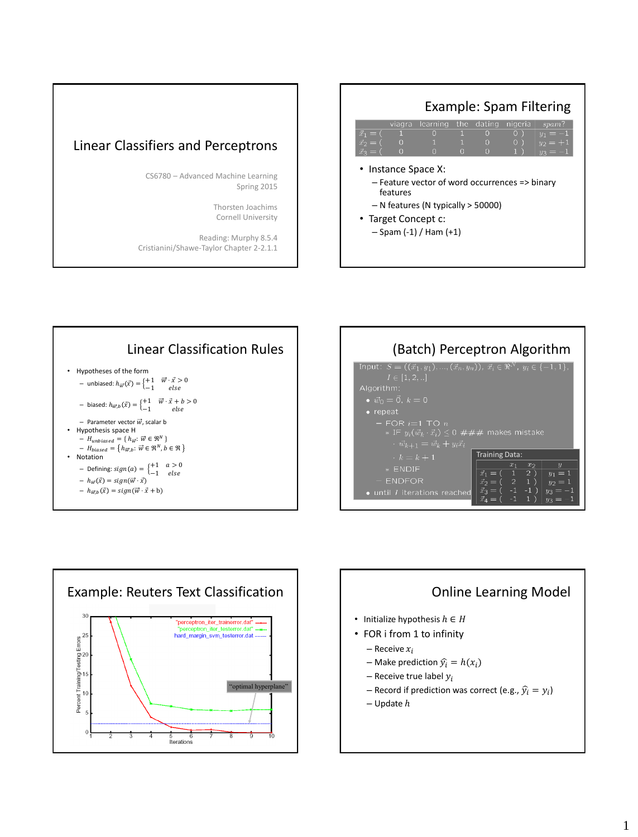